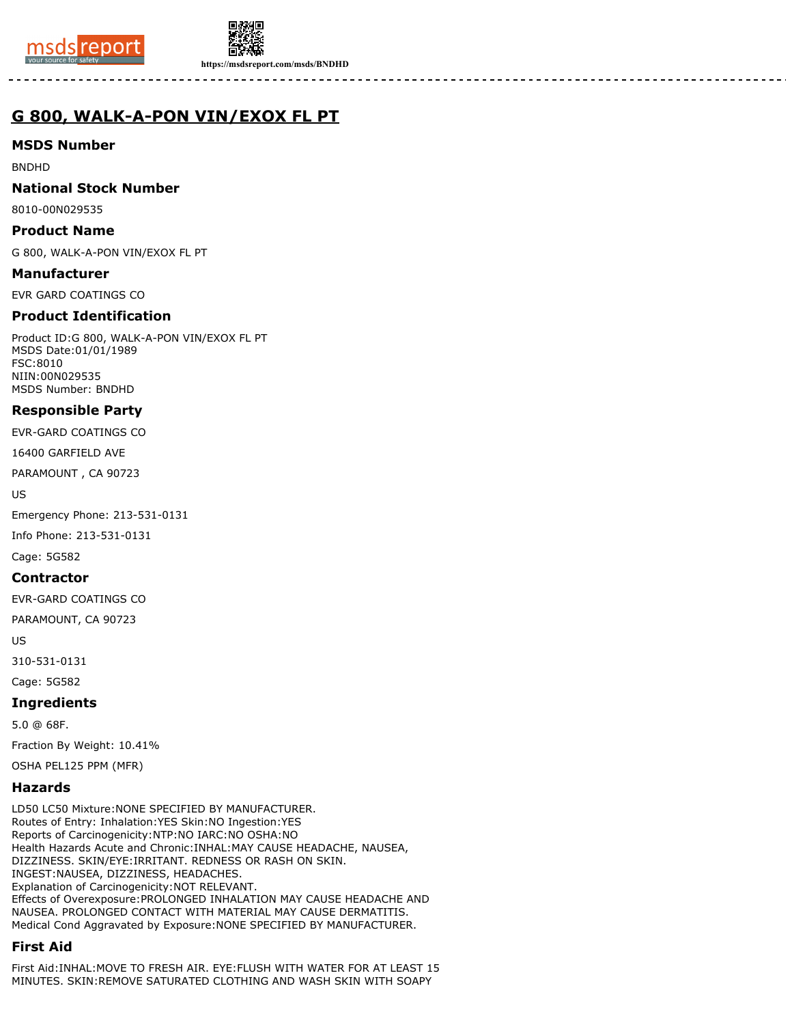



**https://msdsreport.com/msds/BNDHD**

# **G 800, WALK-A-PON VIN/EXOX FL PT**

## **MSDS Number**

BNDHD

#### **National Stock Number**

8010-00N029535

#### **Product Name**

G 800, WALK-A-PON VIN/EXOX FL PT

#### **Manufacturer**

EVR GARD COATINGS CO

## **Product Identification**

Product ID:G 800, WALK-A-PON VIN/EXOX FL PT MSDS Date:01/01/1989 FSC:8010 NIIN:00N029535 MSDS Number: BNDHD

## **Responsible Party**

EVR-GARD COATINGS CO

16400 GARFIELD AVE

PARAMOUNT , CA 90723

US

Emergency Phone: 213-531-0131

Info Phone: 213-531-0131

Cage: 5G582

## **Contractor**

EVR-GARD COATINGS CO

PARAMOUNT, CA 90723

US

310-531-0131

Cage: 5G582

## **Ingredients**

5.0 @ 68F.

Fraction By Weight: 10.41%

OSHA PEL125 PPM (MFR)

## **Hazards**

LD50 LC50 Mixture:NONE SPECIFIED BY MANUFACTURER. Routes of Entry: Inhalation:YES Skin:NO Ingestion:YES Reports of Carcinogenicity:NTP:NO IARC:NO OSHA:NO Health Hazards Acute and Chronic:INHAL:MAY CAUSE HEADACHE, NAUSEA, DIZZINESS. SKIN/EYE:IRRITANT. REDNESS OR RASH ON SKIN. INGEST:NAUSEA, DIZZINESS, HEADACHES. Explanation of Carcinogenicity:NOT RELEVANT. Effects of Overexposure:PROLONGED INHALATION MAY CAUSE HEADACHE AND NAUSEA. PROLONGED CONTACT WITH MATERIAL MAY CAUSE DERMATITIS. Medical Cond Aggravated by Exposure:NONE SPECIFIED BY MANUFACTURER.

## **First Aid**

First Aid:INHAL:MOVE TO FRESH AIR. EYE:FLUSH WITH WATER FOR AT LEAST 15 MINUTES. SKIN:REMOVE SATURATED CLOTHING AND WASH SKIN WITH SOAPY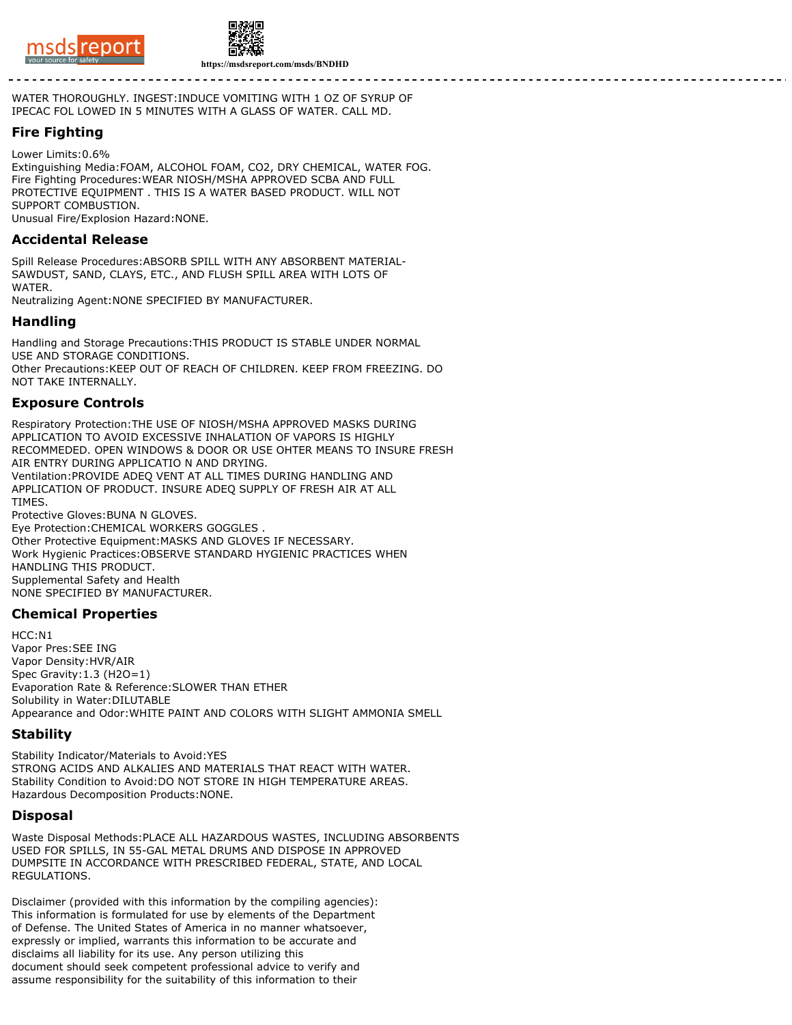



WATER THOROUGHLY. INGEST:INDUCE VOMITING WITH 1 OZ OF SYRUP OF IPECAC FOL LOWED IN 5 MINUTES WITH A GLASS OF WATER. CALL MD.

## **Fire Fighting**

Lower Limits:0.6% Extinguishing Media:FOAM, ALCOHOL FOAM, CO2, DRY CHEMICAL, WATER FOG. Fire Fighting Procedures:WEAR NIOSH/MSHA APPROVED SCBA AND FULL PROTECTIVE EQUIPMENT . THIS IS A WATER BASED PRODUCT. WILL NOT SUPPORT COMBUSTION. Unusual Fire/Explosion Hazard:NONE.

### **Accidental Release**

Spill Release Procedures:ABSORB SPILL WITH ANY ABSORBENT MATERIAL-SAWDUST, SAND, CLAYS, ETC., AND FLUSH SPILL AREA WITH LOTS OF WATER.

Neutralizing Agent:NONE SPECIFIED BY MANUFACTURER.

#### **Handling**

Handling and Storage Precautions:THIS PRODUCT IS STABLE UNDER NORMAL USE AND STORAGE CONDITIONS. Other Precautions:KEEP OUT OF REACH OF CHILDREN. KEEP FROM FREEZING. DO NOT TAKE INTERNALLY.

#### **Exposure Controls**

Respiratory Protection:THE USE OF NIOSH/MSHA APPROVED MASKS DURING APPLICATION TO AVOID EXCESSIVE INHALATION OF VAPORS IS HIGHLY RECOMMEDED. OPEN WINDOWS & DOOR OR USE OHTER MEANS TO INSURE FRESH AIR ENTRY DURING APPLICATIO N AND DRYING. Ventilation:PROVIDE ADEQ VENT AT ALL TIMES DURING HANDLING AND APPLICATION OF PRODUCT. INSURE ADEQ SUPPLY OF FRESH AIR AT ALL TIMES. Protective Gloves:BUNA N GLOVES. Eye Protection:CHEMICAL WORKERS GOGGLES . Other Protective Equipment:MASKS AND GLOVES IF NECESSARY. Work Hygienic Practices:OBSERVE STANDARD HYGIENIC PRACTICES WHEN HANDLING THIS PRODUCT. Supplemental Safety and Health

NONE SPECIFIED BY MANUFACTURER.

#### **Chemical Properties**

HCC:N1 Vapor Pres:SEE ING Vapor Density:HVR/AIR Spec Gravity:1.3 (H2O=1) Evaporation Rate & Reference:SLOWER THAN ETHER Solubility in Water:DILUTABLE Appearance and Odor:WHITE PAINT AND COLORS WITH SLIGHT AMMONIA SMELL

#### **Stability**

Stability Indicator/Materials to Avoid:YES STRONG ACIDS AND ALKALIES AND MATERIALS THAT REACT WITH WATER. Stability Condition to Avoid:DO NOT STORE IN HIGH TEMPERATURE AREAS. Hazardous Decomposition Products:NONE.

#### **Disposal**

Waste Disposal Methods:PLACE ALL HAZARDOUS WASTES, INCLUDING ABSORBENTS USED FOR SPILLS, IN 55-GAL METAL DRUMS AND DISPOSE IN APPROVED DUMPSITE IN ACCORDANCE WITH PRESCRIBED FEDERAL, STATE, AND LOCAL REGULATIONS.

Disclaimer (provided with this information by the compiling agencies): This information is formulated for use by elements of the Department of Defense. The United States of America in no manner whatsoever, expressly or implied, warrants this information to be accurate and disclaims all liability for its use. Any person utilizing this document should seek competent professional advice to verify and assume responsibility for the suitability of this information to their